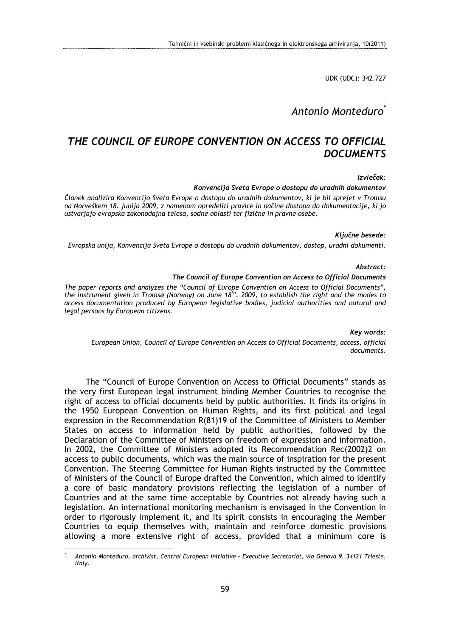UDK (UDC): 342.727

# Antonio Monteduro\*

# THE COUNCIL OF EUROPE CONVENTION ON ACCESS TO OFFICIAL **DOCUMENTS**

## Izvleček:

Konvencija Sveta Evrope o dostopu do uradnih dokumentov

Članek analizira Konvencijo Sveta Evrope o dostopu do uradnih dokumentov, ki je bil sprejet v Tromsu na Norveškem 18. junija 2009, z namenom opredeliti pravice in načine dostopa do dokumentacije, ki jo ustvarjajo evropska zakonodajna telesa, sodne oblasti ter fizične in pravne osebe.

### Ključne besede:

Evropska unija, Konvencija Sveta Evrope o dostopu do uradnih dokumentov, dostop, uradni dokumenti.

#### Abstract:

### The Council of Europe Convention on Access to Official Documents

The paper reports and analyzes the "Council of Europe Convention on Access to Official Documents", the instrument given in Tromsø (Norway) on June 18<sup>th</sup>, 2009, to establish the right and the modes to access documentation produced by European legislative bodies, judicial authorities and natural and legal persons by European citizens.

## Key words:

European Union, Council of Europe Convention on Access to Official Documents, access, official documents.

The "Council of Europe Convention on Access to Official Documents" stands as the very first European legal instrument binding Member Countries to recognise the right of access to official documents held by public authorities. It finds its origins in the 1950 European Convention on Human Rights, and its first political and legal expression in the Recommendation R(81)19 of the Committee of Ministers to Member States on access to information held by public authorities, followed by the Declaration of the Committee of Ministers on freedom of expression and information. In 2002, the Committee of Ministers adopted its Recommendation Rec(2002)2 on access to public documents, which was the main source of inspiration for the present Convention. The Steering Committee for Human Rights instructed by the Committee of Ministers of the Council of Europe drafted the Convention, which aimed to identify a core of basic mandatory provisions reflecting the legislation of a number of Countries and at the same time acceptable by Countries not already having such a legislation. An international monitoring mechanism is envisaged in the Convention in order to rigorously implement it, and its spirit consists in encouraging the Member Countries to equip themselves with, maintain and reinforce domestic provisions allowing a more extensive right of access, provided that a minimum core is

 $\overline{a}$ \*

Antonio Monteduro, archivist, Central European Initiative – Executive Secretariat, via Genova 9, 34121 Trieste, Italy.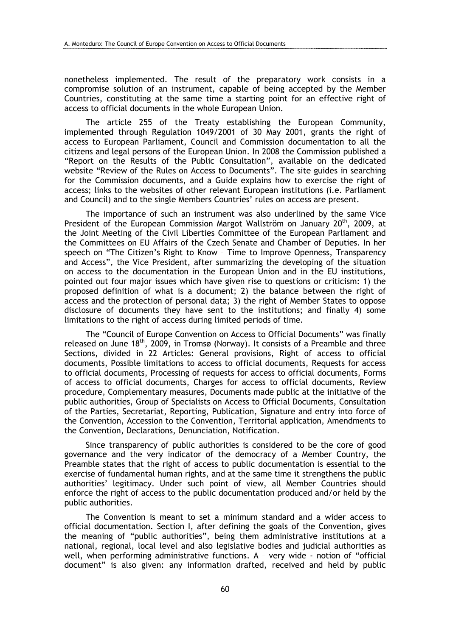nonetheless implemented. The result of the preparatory work consists in a compromise solution of an instrument, capable of being accepted by the Member Countries, constituting at the same time a starting point for an effective right of access to official documents in the whole European Union.

The article 255 of the Treaty establishing the European Community, implemented through Regulation 1049/2001 of 30 May 2001, grants the right of access to European Parliament, Council and Commission documentation to all the citizens and legal persons of the European Union. In 2008 the Commission published a "Report on the Results of the Public Consultation", available on the dedicated website "Review of the Rules on Access to Documents". The site guides in searching for the Commission documents, and a Guide explains how to exercise the right of access; links to the websites of other relevant European institutions (i.e. Parliament and Council) and to the single Members Countries' rules on access are present.

The importance of such an instrument was also underlined by the same Vice President of the European Commission Margot Wallström on January  $20<sup>th</sup>$ , 2009, at the Joint Meeting of the Civil Liberties Committee of the European Parliament and the Committees on EU Affairs of the Czech Senate and Chamber of Deputies. In her speech on "The Citizen's Right to Know – Time to Improve Openness, Transparency and Access", the Vice President, after summarizing the developing of the situation on access to the documentation in the European Union and in the EU institutions, pointed out four major issues which have given rise to questions or criticism: 1) the proposed definition of what is a document; 2) the balance between the right of access and the protection of personal data; 3) the right of Member States to oppose disclosure of documents they have sent to the institutions; and finally 4) some limitations to the right of access during limited periods of time.

The "Council of Europe Convention on Access to Official Documents" was finally released on June  $18^{th}$ , 2009, in Tromsø (Norway). It consists of a Preamble and three Sections, divided in 22 Articles: General provisions, Right of access to official documents, Possible limitations to access to official documents, Requests for access to official documents, Processing of requests for access to official documents, Forms of access to official documents, Charges for access to official documents, Review procedure, Complementary measures, Documents made public at the initiative of the public authorities, Group of Specialists on Access to Official Documents, Consultation of the Parties, Secretariat, Reporting, Publication, Signature and entry into force of the Convention, Accession to the Convention, Territorial application, Amendments to the Convention, Declarations, Denunciation, Notification.

Since transparency of public authorities is considered to be the core of good governance and the very indicator of the democracy of a Member Country, the Preamble states that the right of access to public documentation is essential to the exercise of fundamental human rights, and at the same time it strengthens the public authorities' legitimacy. Under such point of view, all Member Countries should enforce the right of access to the public documentation produced and/or held by the public authorities.

The Convention is meant to set a minimum standard and a wider access to official documentation. Section I, after defining the goals of the Convention, gives the meaning of "public authorities", being them administrative institutions at a national, regional, local level and also legislative bodies and judicial authorities as well, when performing administrative functions. A – very wide - notion of "official document" is also given: any information drafted, received and held by public